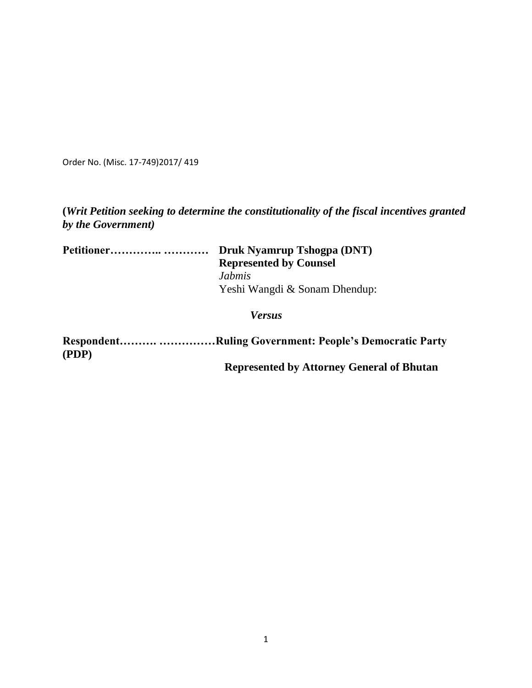Order No. (Misc. 17-749)2017/ 419

# **(***Writ Petition seeking to determine the constitutionality of the fiscal incentives granted by the Government)*

| Petitioner | Druk Nyamrup Tshogpa (DNT)    |
|------------|-------------------------------|
|            | <b>Represented by Counsel</b> |
|            | Jahmis                        |
|            | Yeshi Wangdi & Sonam Dhendup: |
|            | <b>Versus</b>                 |

**Respondent………. ……………Ruling Government: People's Democratic Party (PDP) Represented by Attorney General of Bhutan**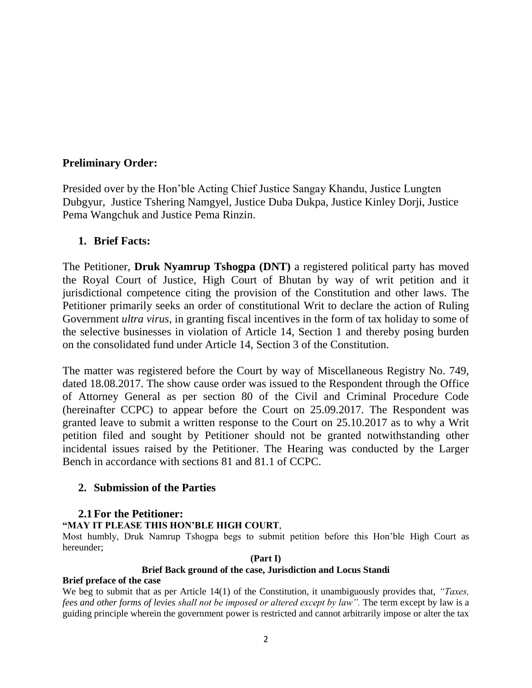# **Preliminary Order:**

Presided over by the Hon'ble Acting Chief Justice Sangay Khandu, Justice Lungten Dubgyur, Justice Tshering Namgyel, Justice Duba Dukpa, Justice Kinley Dorji, Justice Pema Wangchuk and Justice Pema Rinzin.

## **1. Brief Facts:**

The Petitioner, **Druk Nyamrup Tshogpa (DNT)** a registered political party has moved the Royal Court of Justice, High Court of Bhutan by way of writ petition and it jurisdictional competence citing the provision of the Constitution and other laws. The Petitioner primarily seeks an order of constitutional Writ to declare the action of Ruling Government *ultra virus*, in granting fiscal incentives in the form of tax holiday to some of the selective businesses in violation of Article 14, Section 1 and thereby posing burden on the consolidated fund under Article 14, Section 3 of the Constitution.

The matter was registered before the Court by way of Miscellaneous Registry No. 749, dated 18.08.2017. The show cause order was issued to the Respondent through the Office of Attorney General as per section 80 of the Civil and Criminal Procedure Code (hereinafter CCPC) to appear before the Court on 25.09.2017. The Respondent was granted leave to submit a written response to the Court on 25.10.2017 as to why a Writ petition filed and sought by Petitioner should not be granted notwithstanding other incidental issues raised by the Petitioner. The Hearing was conducted by the Larger Bench in accordance with sections 81 and 81.1 of CCPC.

## **2. Submission of the Parties**

## **2.1For the Petitioner:**

### **"MAY IT PLEASE THIS HON'BLE HIGH COURT**,

Most humbly, Druk Namrup Tshogpa begs to submit petition before this Hon'ble High Court as hereunder;

### **(Part I)**

### **Brief Back ground of the case, Jurisdiction and Locus Standi**

### **Brief preface of the case**

We beg to submit that as per Article 14(1) of the Constitution, it unambiguously provides that, *"Taxes, fees and other forms of levies shall not be imposed or altered except by law".* The term except by law is a guiding principle wherein the government power is restricted and cannot arbitrarily impose or alter the tax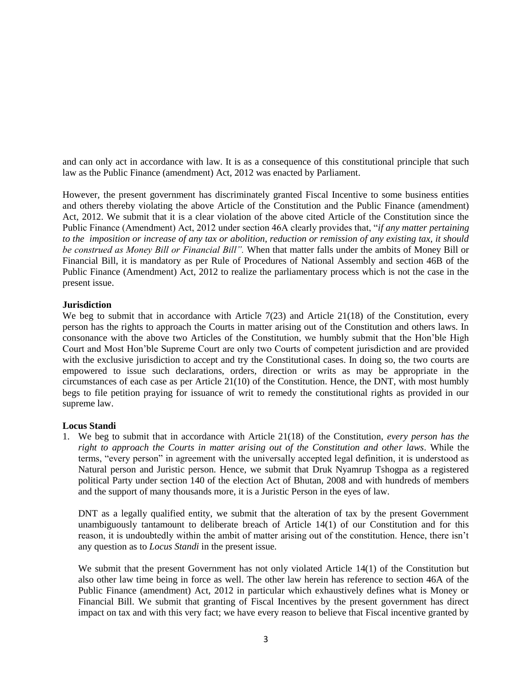and can only act in accordance with law. It is as a consequence of this constitutional principle that such law as the Public Finance (amendment) Act, 2012 was enacted by Parliament.

However, the present government has discriminately granted Fiscal Incentive to some business entities and others thereby violating the above Article of the Constitution and the Public Finance (amendment) Act, 2012. We submit that it is a clear violation of the above cited Article of the Constitution since the Public Finance (Amendment) Act, 2012 under section 46A clearly provides that, "*if any matter pertaining to the imposition or increase of any tax or abolition, reduction or remission of any existing tax, it should be construed as Money Bill or Financial Bill".* When that matter falls under the ambits of Money Bill or Financial Bill, it is mandatory as per Rule of Procedures of National Assembly and section 46B of the Public Finance (Amendment) Act, 2012 to realize the parliamentary process which is not the case in the present issue.

#### **Jurisdiction**

We beg to submit that in accordance with Article 7(23) and Article 21(18) of the Constitution, every person has the rights to approach the Courts in matter arising out of the Constitution and others laws. In consonance with the above two Articles of the Constitution, we humbly submit that the Hon'ble High Court and Most Hon'ble Supreme Court are only two Courts of competent jurisdiction and are provided with the exclusive jurisdiction to accept and try the Constitutional cases. In doing so, the two courts are empowered to issue such declarations, orders, direction or writs as may be appropriate in the circumstances of each case as per Article 21(10) of the Constitution. Hence, the DNT, with most humbly begs to file petition praying for issuance of writ to remedy the constitutional rights as provided in our supreme law.

### **Locus Standi**

1. We beg to submit that in accordance with Article 21(18) of the Constitution, *every person has the right to approach the Courts in matter arising out of the Constitution and other laws*. While the terms, "every person" in agreement with the universally accepted legal definition, it is understood as Natural person and Juristic person. Hence, we submit that Druk Nyamrup Tshogpa as a registered political Party under section 140 of the election Act of Bhutan, 2008 and with hundreds of members and the support of many thousands more, it is a Juristic Person in the eyes of law.

DNT as a legally qualified entity, we submit that the alteration of tax by the present Government unambiguously tantamount to deliberate breach of Article 14(1) of our Constitution and for this reason, it is undoubtedly within the ambit of matter arising out of the constitution. Hence, there isn't any question as to *Locus Standi* in the present issue*.*

We submit that the present Government has not only violated Article 14(1) of the Constitution but also other law time being in force as well. The other law herein has reference to section 46A of the Public Finance (amendment) Act, 2012 in particular which exhaustively defines what is Money or Financial Bill. We submit that granting of Fiscal Incentives by the present government has direct impact on tax and with this very fact; we have every reason to believe that Fiscal incentive granted by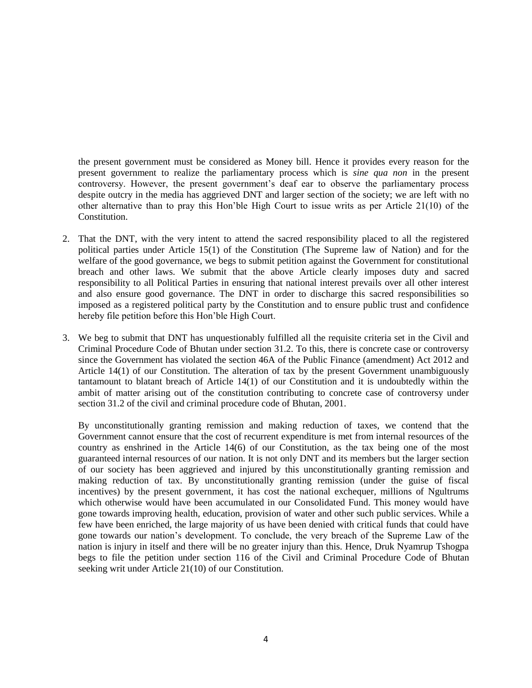the present government must be considered as Money bill. Hence it provides every reason for the present government to realize the parliamentary process which is *sine qua non* in the present controversy. However, the present government's deaf ear to observe the parliamentary process despite outcry in the media has aggrieved DNT and larger section of the society; we are left with no other alternative than to pray this Hon'ble High Court to issue writs as per Article 21(10) of the Constitution.

- 2. That the DNT, with the very intent to attend the sacred responsibility placed to all the registered political parties under Article 15(1) of the Constitution (The Supreme law of Nation) and for the welfare of the good governance, we begs to submit petition against the Government for constitutional breach and other laws. We submit that the above Article clearly imposes duty and sacred responsibility to all Political Parties in ensuring that national interest prevails over all other interest and also ensure good governance. The DNT in order to discharge this sacred responsibilities so imposed as a registered political party by the Constitution and to ensure public trust and confidence hereby file petition before this Hon'ble High Court.
- 3. We beg to submit that DNT has unquestionably fulfilled all the requisite criteria set in the Civil and Criminal Procedure Code of Bhutan under section 31.2. To this, there is concrete case or controversy since the Government has violated the section 46A of the Public Finance (amendment) Act 2012 and Article 14(1) of our Constitution. The alteration of tax by the present Government unambiguously tantamount to blatant breach of Article 14(1) of our Constitution and it is undoubtedly within the ambit of matter arising out of the constitution contributing to concrete case of controversy under section 31.2 of the civil and criminal procedure code of Bhutan, 2001.

By unconstitutionally granting remission and making reduction of taxes, we contend that the Government cannot ensure that the cost of recurrent expenditure is met from internal resources of the country as enshrined in the Article 14(6) of our Constitution, as the tax being one of the most guaranteed internal resources of our nation. It is not only DNT and its members but the larger section of our society has been aggrieved and injured by this unconstitutionally granting remission and making reduction of tax. By unconstitutionally granting remission (under the guise of fiscal incentives) by the present government, it has cost the national exchequer, millions of Ngultrums which otherwise would have been accumulated in our Consolidated Fund. This money would have gone towards improving health, education, provision of water and other such public services. While a few have been enriched, the large majority of us have been denied with critical funds that could have gone towards our nation's development. To conclude, the very breach of the Supreme Law of the nation is injury in itself and there will be no greater injury than this. Hence, Druk Nyamrup Tshogpa begs to file the petition under section 116 of the Civil and Criminal Procedure Code of Bhutan seeking writ under Article 21(10) of our Constitution.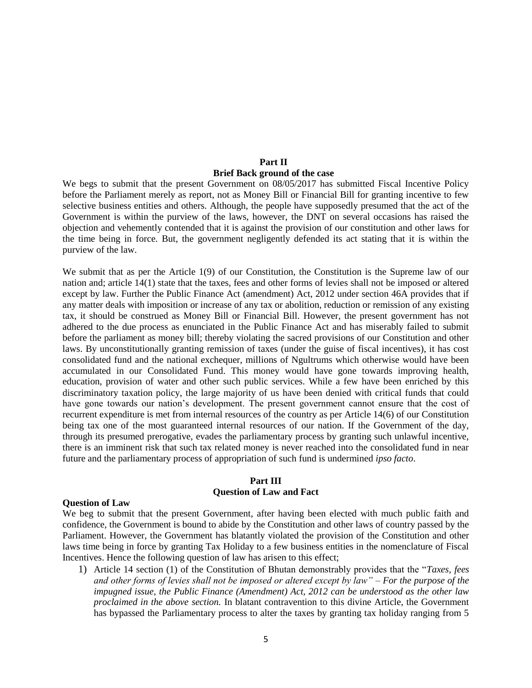### **Part II Brief Back ground of the case**

We begs to submit that the present Government on 08/05/2017 has submitted Fiscal Incentive Policy before the Parliament merely as report, not as Money Bill or Financial Bill for granting incentive to few selective business entities and others. Although, the people have supposedly presumed that the act of the Government is within the purview of the laws, however, the DNT on several occasions has raised the objection and vehemently contended that it is against the provision of our constitution and other laws for the time being in force. But, the government negligently defended its act stating that it is within the purview of the law.

We submit that as per the Article 1(9) of our Constitution, the Constitution is the Supreme law of our nation and; article 14(1) state that the taxes, fees and other forms of levies shall not be imposed or altered except by law. Further the Public Finance Act (amendment) Act, 2012 under section 46A provides that if any matter deals with imposition or increase of any tax or abolition, reduction or remission of any existing tax, it should be construed as Money Bill or Financial Bill. However, the present government has not adhered to the due process as enunciated in the Public Finance Act and has miserably failed to submit before the parliament as money bill; thereby violating the sacred provisions of our Constitution and other laws. By unconstitutionally granting remission of taxes (under the guise of fiscal incentives), it has cost consolidated fund and the national exchequer, millions of Ngultrums which otherwise would have been accumulated in our Consolidated Fund. This money would have gone towards improving health, education, provision of water and other such public services. While a few have been enriched by this discriminatory taxation policy, the large majority of us have been denied with critical funds that could have gone towards our nation's development. The present government cannot ensure that the cost of recurrent expenditure is met from internal resources of the country as per Article 14(6) of our Constitution being tax one of the most guaranteed internal resources of our nation. If the Government of the day, through its presumed prerogative, evades the parliamentary process by granting such unlawful incentive, there is an imminent risk that such tax related money is never reached into the consolidated fund in near future and the parliamentary process of appropriation of such fund is undermined *ipso facto*.

### **Part III Question of Law and Fact**

#### **Question of Law**

We beg to submit that the present Government, after having been elected with much public faith and confidence, the Government is bound to abide by the Constitution and other laws of country passed by the Parliament. However, the Government has blatantly violated the provision of the Constitution and other laws time being in force by granting Tax Holiday to a few business entities in the nomenclature of Fiscal Incentives. Hence the following question of law has arisen to this effect;

1) Article 14 section (1) of the Constitution of Bhutan demonstrably provides that the "*Taxes, fees and other forms of levies shall not be imposed or altered except by law"* – *For the purpose of the impugned issue, the Public Finance (Amendment) Act, 2012 can be understood as the other law proclaimed in the above section.* In blatant contravention to this divine Article, the Government has bypassed the Parliamentary process to alter the taxes by granting tax holiday ranging from 5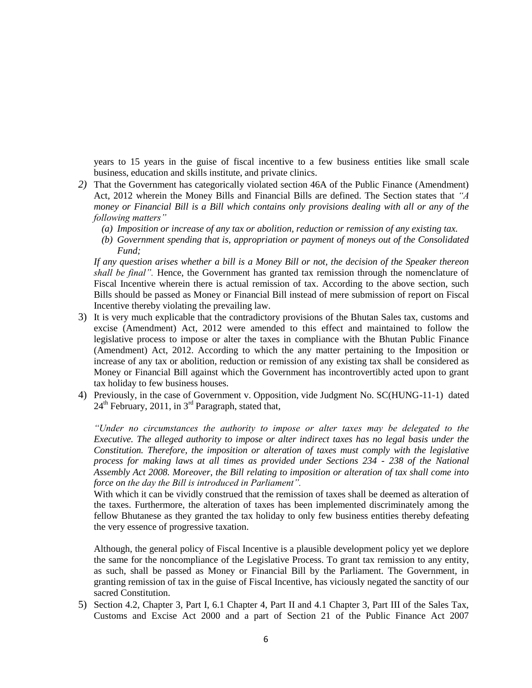years to 15 years in the guise of fiscal incentive to a few business entities like small scale business, education and skills institute, and private clinics.

- *2)* That the Government has categorically violated section 46A of the Public Finance (Amendment) Act, 2012 wherein the Money Bills and Financial Bills are defined. The Section states that *"A money or Financial Bill is a Bill which contains only provisions dealing with all or any of the following matters"*
	- *(a) Imposition or increase of any tax or abolition, reduction or remission of any existing tax.*
	- *(b) Government spending that is, appropriation or payment of moneys out of the Consolidated Fund;*

*If any question arises whether a bill is a Money Bill or not, the decision of the Speaker thereon shall be final".* Hence, the Government has granted tax remission through the nomenclature of Fiscal Incentive wherein there is actual remission of tax. According to the above section, such Bills should be passed as Money or Financial Bill instead of mere submission of report on Fiscal Incentive thereby violating the prevailing law.

- 3) It is very much explicable that the contradictory provisions of the Bhutan Sales tax, customs and excise (Amendment) Act, 2012 were amended to this effect and maintained to follow the legislative process to impose or alter the taxes in compliance with the Bhutan Public Finance (Amendment) Act, 2012. According to which the any matter pertaining to the Imposition or increase of any tax or abolition, reduction or remission of any existing tax shall be considered as Money or Financial Bill against which the Government has incontrovertibly acted upon to grant tax holiday to few business houses.
- 4) Previously, in the case of Government v. Opposition, vide Judgment No. SC(HUNG-11-1) dated  $24<sup>th</sup>$  February, 2011, in 3<sup>rd</sup> Paragraph, stated that,

*"Under no circumstances the authority to impose or alter taxes may be delegated to the Executive. The alleged authority to impose or alter indirect taxes has no legal basis under the Constitution. Therefore, the imposition or alteration of taxes must comply with the legislative process for making laws at all times as provided under Sections 234 - 238 of the National Assembly Act 2008. Moreover, the Bill relating to imposition or alteration of tax shall come into force on the day the Bill is introduced in Parliament".*

With which it can be vividly construed that the remission of taxes shall be deemed as alteration of the taxes. Furthermore, the alteration of taxes has been implemented discriminately among the fellow Bhutanese as they granted the tax holiday to only few business entities thereby defeating the very essence of progressive taxation.

Although, the general policy of Fiscal Incentive is a plausible development policy yet we deplore the same for the noncompliance of the Legislative Process. To grant tax remission to any entity, as such, shall be passed as Money or Financial Bill by the Parliament. The Government, in granting remission of tax in the guise of Fiscal Incentive, has viciously negated the sanctity of our sacred Constitution.

5) Section 4.2, Chapter 3, Part I, 6.1 Chapter 4, Part II and 4.1 Chapter 3, Part III of the Sales Tax, Customs and Excise Act 2000 and a part of Section 21 of the Public Finance Act 2007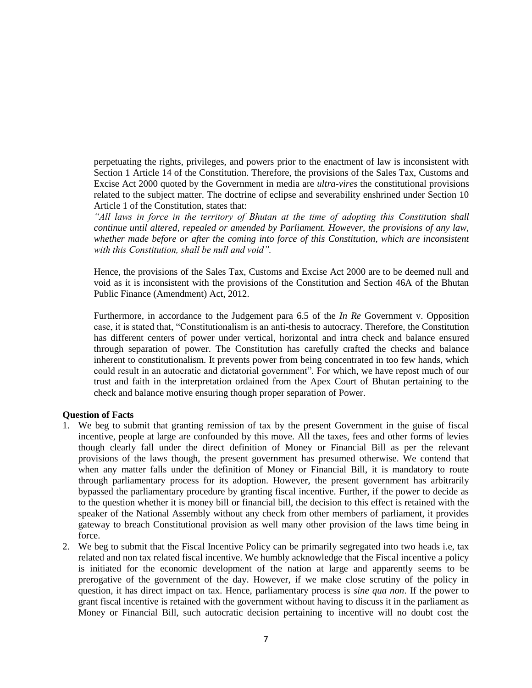perpetuating the rights, privileges, and powers prior to the enactment of law is inconsistent with Section 1 Article 14 of the Constitution. Therefore, the provisions of the Sales Tax, Customs and Excise Act 2000 quoted by the Government in media are *ultra-vires* the constitutional provisions related to the subject matter. The doctrine of eclipse and severability enshrined under Section 10 Article 1 of the Constitution, states that:

*"All laws in force in the territory of Bhutan at the time of adopting this Constitution shall continue until altered, repealed or amended by Parliament. However, the provisions of any law,*  whether made before or after the coming into force of this Constitution, which are inconsistent *with this Constitution, shall be null and void".* 

Hence, the provisions of the Sales Tax, Customs and Excise Act 2000 are to be deemed null and void as it is inconsistent with the provisions of the Constitution and Section 46A of the Bhutan Public Finance (Amendment) Act, 2012.

Furthermore, in accordance to the Judgement para 6.5 of the *In Re* Government v. Opposition case, it is stated that, "Constitutionalism is an anti-thesis to autocracy. Therefore, the Constitution has different centers of power under vertical, horizontal and intra check and balance ensured through separation of power. The Constitution has carefully crafted the checks and balance inherent to constitutionalism. It prevents power from being concentrated in too few hands, which could result in an autocratic and dictatorial government". For which, we have repost much of our trust and faith in the interpretation ordained from the Apex Court of Bhutan pertaining to the check and balance motive ensuring though proper separation of Power.

#### **Question of Facts**

- 1. We beg to submit that granting remission of tax by the present Government in the guise of fiscal incentive, people at large are confounded by this move. All the taxes, fees and other forms of levies though clearly fall under the direct definition of Money or Financial Bill as per the relevant provisions of the laws though, the present government has presumed otherwise. We contend that when any matter falls under the definition of Money or Financial Bill, it is mandatory to route through parliamentary process for its adoption. However, the present government has arbitrarily bypassed the parliamentary procedure by granting fiscal incentive. Further, if the power to decide as to the question whether it is money bill or financial bill, the decision to this effect is retained with the speaker of the National Assembly without any check from other members of parliament, it provides gateway to breach Constitutional provision as well many other provision of the laws time being in force.
- 2. We beg to submit that the Fiscal Incentive Policy can be primarily segregated into two heads i.e, tax related and non tax related fiscal incentive. We humbly acknowledge that the Fiscal incentive a policy is initiated for the economic development of the nation at large and apparently seems to be prerogative of the government of the day. However, if we make close scrutiny of the policy in question, it has direct impact on tax. Hence, parliamentary process is *sine qua non*. If the power to grant fiscal incentive is retained with the government without having to discuss it in the parliament as Money or Financial Bill, such autocratic decision pertaining to incentive will no doubt cost the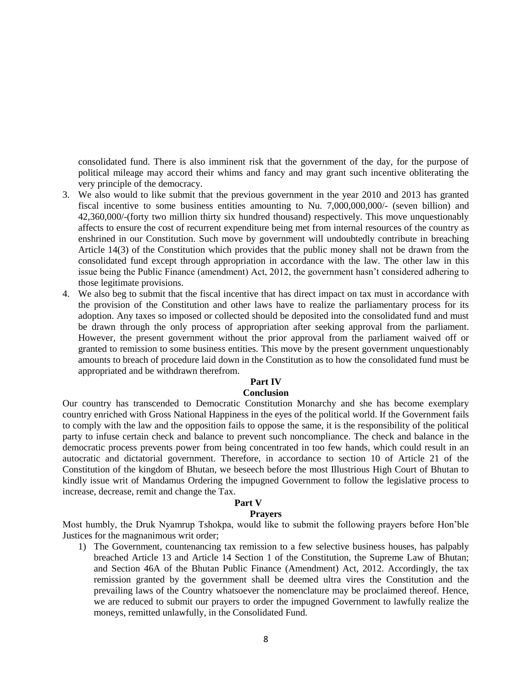consolidated fund. There is also imminent risk that the government of the day, for the purpose of political mileage may accord their whims and fancy and may grant such incentive obliterating the very principle of the democracy.

- 3. We also would to like submit that the previous government in the year 2010 and 2013 has granted fiscal incentive to some business entities amounting to Nu. 7,000,000,000/- (seven billion) and 42,360,000/-(forty two million thirty six hundred thousand) respectively. This move unquestionably affects to ensure the cost of recurrent expenditure being met from internal resources of the country as enshrined in our Constitution. Such move by government will undoubtedly contribute in breaching Article 14(3) of the Constitution which provides that the public money shall not be drawn from the consolidated fund except through appropriation in accordance with the law. The other law in this issue being the Public Finance (amendment) Act, 2012, the government hasn't considered adhering to those legitimate provisions.
- 4. We also beg to submit that the fiscal incentive that has direct impact on tax must in accordance with the provision of the Constitution and other laws have to realize the parliamentary process for its adoption. Any taxes so imposed or collected should be deposited into the consolidated fund and must be drawn through the only process of appropriation after seeking approval from the parliament. However, the present government without the prior approval from the parliament waived off or granted to remission to some business entities. This move by the present government unquestionably amounts to breach of procedure laid down in the Constitution as to how the consolidated fund must be appropriated and be withdrawn therefrom.

### **Part IV**

#### **Conclusion**

Our country has transcended to Democratic Constitution Monarchy and she has become exemplary country enriched with Gross National Happiness in the eyes of the political world. If the Government fails to comply with the law and the opposition fails to oppose the same, it is the responsibility of the political party to infuse certain check and balance to prevent such noncompliance. The check and balance in the democratic process prevents power from being concentrated in too few hands, which could result in an autocratic and dictatorial government. Therefore, in accordance to section 10 of Article 21 of the Constitution of the kingdom of Bhutan, we beseech before the most Illustrious High Court of Bhutan to kindly issue writ of Mandamus Ordering the impugned Government to follow the legislative process to increase, decrease, remit and change the Tax.

### **Part V**

#### **Prayers**

Most humbly, the Druk Nyamrup Tshokpa, would like to submit the following prayers before Hon'ble Justices for the magnanimous writ order;

1) The Government, countenancing tax remission to a few selective business houses, has palpably breached Article 13 and Article 14 Section 1 of the Constitution, the Supreme Law of Bhutan; and Section 46A of the Bhutan Public Finance (Amendment) Act, 2012. Accordingly, the tax remission granted by the government shall be deemed ultra vires the Constitution and the prevailing laws of the Country whatsoever the nomenclature may be proclaimed thereof. Hence, we are reduced to submit our prayers to order the impugned Government to lawfully realize the moneys, remitted unlawfully, in the Consolidated Fund.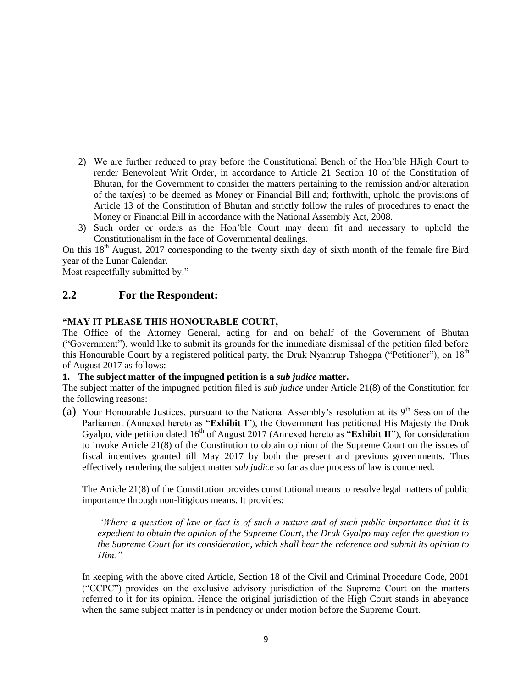- 2) We are further reduced to pray before the Constitutional Bench of the Hon'ble HJigh Court to render Benevolent Writ Order, in accordance to Article 21 Section 10 of the Constitution of Bhutan, for the Government to consider the matters pertaining to the remission and/or alteration of the tax(es) to be deemed as Money or Financial Bill and; forthwith, uphold the provisions of Article 13 of the Constitution of Bhutan and strictly follow the rules of procedures to enact the Money or Financial Bill in accordance with the National Assembly Act, 2008.
- 3) Such order or orders as the Hon'ble Court may deem fit and necessary to uphold the Constitutionalism in the face of Governmental dealings.

On this  $18<sup>th</sup>$  August, 2017 corresponding to the twenty sixth day of sixth month of the female fire Bird year of the Lunar Calendar.

Most respectfully submitted by:"

## **2.2 For the Respondent:**

### **"MAY IT PLEASE THIS HONOURABLE COURT,**

The Office of the Attorney General, acting for and on behalf of the Government of Bhutan ("Government"), would like to submit its grounds for the immediate dismissal of the petition filed before this Honourable Court by a registered political party, the Druk Nyamrup Tshogpa ("Petitioner"), on 18<sup>th</sup> of August 2017 as follows:

#### **1. The subject matter of the impugned petition is a** *sub judice* **matter.**

The subject matter of the impugned petition filed is *sub judice* under Article 21(8) of the Constitution for the following reasons:

(a) Your Honourable Justices, pursuant to the National Assembly's resolution at its  $9<sup>th</sup>$  Session of the Parliament (Annexed hereto as "**Exhibit I**"), the Government has petitioned His Majesty the Druk Gyalpo, vide petition dated  $16<sup>th</sup>$  of August 2017 (Annexed hereto as "**Exhibit II**"), for consideration to invoke Article 21(8) of the Constitution to obtain opinion of the Supreme Court on the issues of fiscal incentives granted till May 2017 by both the present and previous governments. Thus effectively rendering the subject matter *sub judice* so far as due process of law is concerned.

The Article 21(8) of the Constitution provides constitutional means to resolve legal matters of public importance through non-litigious means. It provides:

*"Where a question of law or fact is of such a nature and of such public importance that it is expedient to obtain the opinion of the Supreme Court, the Druk Gyalpo may refer the question to the Supreme Court for its consideration, which shall hear the reference and submit its opinion to Him."*

In keeping with the above cited Article, Section 18 of the Civil and Criminal Procedure Code, 2001 ("CCPC") provides on the exclusive advisory jurisdiction of the Supreme Court on the matters referred to it for its opinion. Hence the original jurisdiction of the High Court stands in abeyance when the same subject matter is in pendency or under motion before the Supreme Court.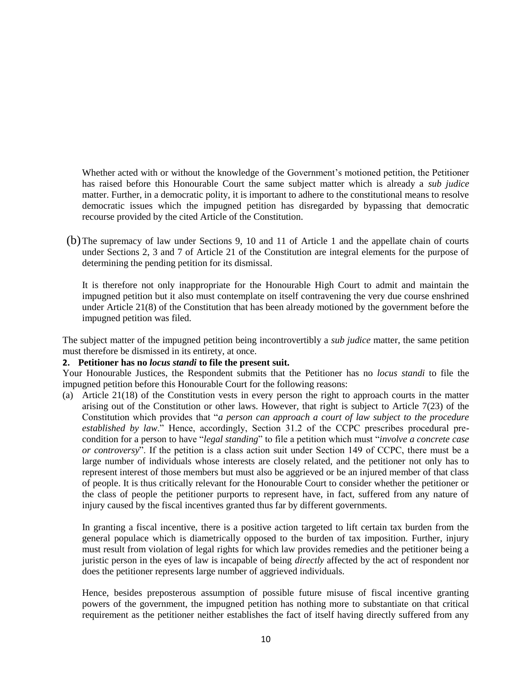Whether acted with or without the knowledge of the Government's motioned petition, the Petitioner has raised before this Honourable Court the same subject matter which is already a *sub judice* matter. Further, in a democratic polity, it is important to adhere to the constitutional means to resolve democratic issues which the impugned petition has disregarded by bypassing that democratic recourse provided by the cited Article of the Constitution.

(b)The supremacy of law under Sections 9, 10 and 11 of Article 1 and the appellate chain of courts under Sections 2, 3 and 7 of Article 21 of the Constitution are integral elements for the purpose of determining the pending petition for its dismissal.

It is therefore not only inappropriate for the Honourable High Court to admit and maintain the impugned petition but it also must contemplate on itself contravening the very due course enshrined under Article 21(8) of the Constitution that has been already motioned by the government before the impugned petition was filed.

The subject matter of the impugned petition being incontrovertibly a *sub judice* matter, the same petition must therefore be dismissed in its entirety, at once.

#### **2. Petitioner has no** *locus standi* **to file the present suit.**

Your Honourable Justices, the Respondent submits that the Petitioner has no *locus standi* to file the impugned petition before this Honourable Court for the following reasons:

(a) Article 21(18) of the Constitution vests in every person the right to approach courts in the matter arising out of the Constitution or other laws. However, that right is subject to Article 7(23) of the Constitution which provides that "*a person can approach a court of law subject to the procedure established by law*." Hence, accordingly, Section 31.2 of the CCPC prescribes procedural precondition for a person to have "*legal standing*" to file a petition which must "*involve a concrete case or controversy*". If the petition is a class action suit under Section 149 of CCPC, there must be a large number of individuals whose interests are closely related, and the petitioner not only has to represent interest of those members but must also be aggrieved or be an injured member of that class of people. It is thus critically relevant for the Honourable Court to consider whether the petitioner or the class of people the petitioner purports to represent have, in fact, suffered from any nature of injury caused by the fiscal incentives granted thus far by different governments.

In granting a fiscal incentive, there is a positive action targeted to lift certain tax burden from the general populace which is diametrically opposed to the burden of tax imposition. Further, injury must result from violation of legal rights for which law provides remedies and the petitioner being a juristic person in the eyes of law is incapable of being *directly* affected by the act of respondent nor does the petitioner represents large number of aggrieved individuals.

Hence, besides preposterous assumption of possible future misuse of fiscal incentive granting powers of the government, the impugned petition has nothing more to substantiate on that critical requirement as the petitioner neither establishes the fact of itself having directly suffered from any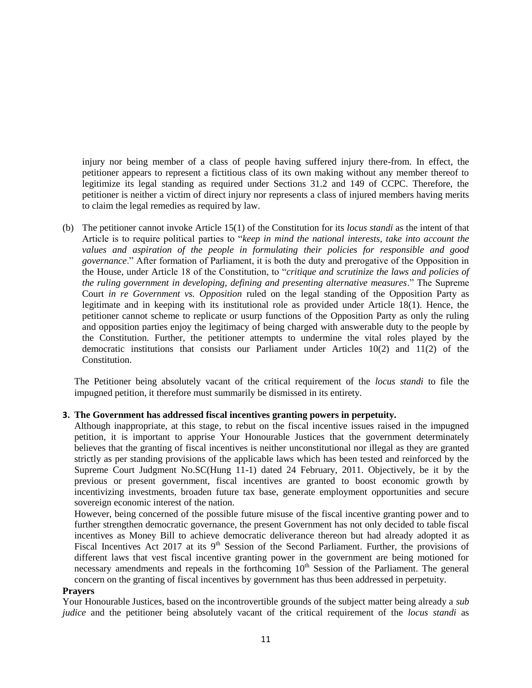injury nor being member of a class of people having suffered injury there-from. In effect, the petitioner appears to represent a fictitious class of its own making without any member thereof to legitimize its legal standing as required under Sections 31.2 and 149 of CCPC. Therefore, the petitioner is neither a victim of direct injury nor represents a class of injured members having merits to claim the legal remedies as required by law.

(b) The petitioner cannot invoke Article 15(1) of the Constitution for its *locus standi* as the intent of that Article is to require political parties to "*keep in mind the national interests, take into account the values and aspiration of the people in formulating their policies for responsible and good governance*." After formation of Parliament, it is both the duty and prerogative of the Opposition in the House, under Article 18 of the Constitution, to "*critique and scrutinize the laws and policies of the ruling government in developing, defining and presenting alternative measures*." The Supreme Court *in re Government vs. Opposition* ruled on the legal standing of the Opposition Party as legitimate and in keeping with its institutional role as provided under Article 18(1). Hence, the petitioner cannot scheme to replicate or usurp functions of the Opposition Party as only the ruling and opposition parties enjoy the legitimacy of being charged with answerable duty to the people by the Constitution. Further, the petitioner attempts to undermine the vital roles played by the democratic institutions that consists our Parliament under Articles 10(2) and 11(2) of the Constitution.

The Petitioner being absolutely vacant of the critical requirement of the *locus standi* to file the impugned petition, it therefore must summarily be dismissed in its entirety.

### **3. The Government has addressed fiscal incentives granting powers in perpetuity.**

Although inappropriate, at this stage, to rebut on the fiscal incentive issues raised in the impugned petition, it is important to apprise Your Honourable Justices that the government determinately believes that the granting of fiscal incentives is neither unconstitutional nor illegal as they are granted strictly as per standing provisions of the applicable laws which has been tested and reinforced by the Supreme Court Judgment No.SC(Hung 11-1) dated 24 February, 2011. Objectively, be it by the previous or present government, fiscal incentives are granted to boost economic growth by incentivizing investments, broaden future tax base, generate employment opportunities and secure sovereign economic interest of the nation.

However, being concerned of the possible future misuse of the fiscal incentive granting power and to further strengthen democratic governance, the present Government has not only decided to table fiscal incentives as Money Bill to achieve democratic deliverance thereon but had already adopted it as Fiscal Incentives Act 2017 at its  $9<sup>th</sup>$  Session of the Second Parliament. Further, the provisions of different laws that vest fiscal incentive granting power in the government are being motioned for necessary amendments and repeals in the forthcoming 10<sup>th</sup> Session of the Parliament. The general concern on the granting of fiscal incentives by government has thus been addressed in perpetuity.

#### **Prayers**

Your Honourable Justices, based on the incontrovertible grounds of the subject matter being already a *sub judice* and the petitioner being absolutely vacant of the critical requirement of the *locus standi* as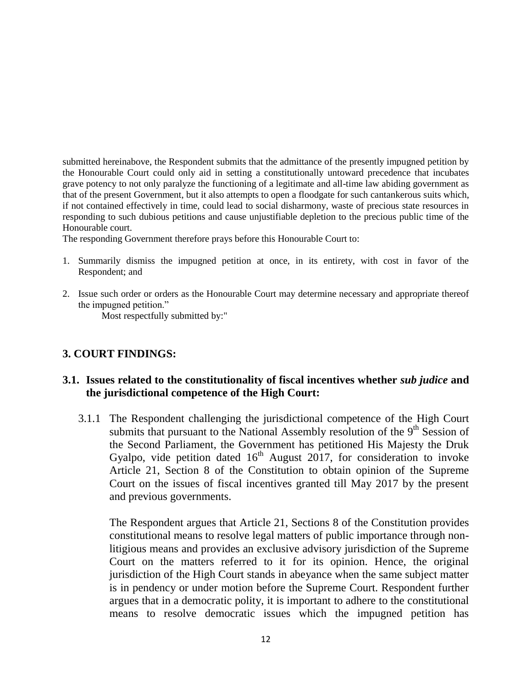submitted hereinabove, the Respondent submits that the admittance of the presently impugned petition by the Honourable Court could only aid in setting a constitutionally untoward precedence that incubates grave potency to not only paralyze the functioning of a legitimate and all-time law abiding government as that of the present Government, but it also attempts to open a floodgate for such cantankerous suits which, if not contained effectively in time, could lead to social disharmony, waste of precious state resources in responding to such dubious petitions and cause unjustifiable depletion to the precious public time of the Honourable court.

The responding Government therefore prays before this Honourable Court to:

- 1. Summarily dismiss the impugned petition at once, in its entirety, with cost in favor of the Respondent; and
- 2. Issue such order or orders as the Honourable Court may determine necessary and appropriate thereof the impugned petition."

Most respectfully submitted by:"

# **3. COURT FINDINGS:**

# **3.1. Issues related to the constitutionality of fiscal incentives whether** *sub judice* **and the jurisdictional competence of the High Court:**

3.1.1 The Respondent challenging the jurisdictional competence of the High Court submits that pursuant to the National Assembly resolution of the  $9<sup>th</sup>$  Session of the Second Parliament, the Government has petitioned His Majesty the Druk Gyalpo, vide petition dated  $16<sup>th</sup>$  August 2017, for consideration to invoke Article 21, Section 8 of the Constitution to obtain opinion of the Supreme Court on the issues of fiscal incentives granted till May 2017 by the present and previous governments.

The Respondent argues that Article 21, Sections 8 of the Constitution provides constitutional means to resolve legal matters of public importance through nonlitigious means and provides an exclusive advisory jurisdiction of the Supreme Court on the matters referred to it for its opinion. Hence, the original jurisdiction of the High Court stands in abeyance when the same subject matter is in pendency or under motion before the Supreme Court. Respondent further argues that in a democratic polity, it is important to adhere to the constitutional means to resolve democratic issues which the impugned petition has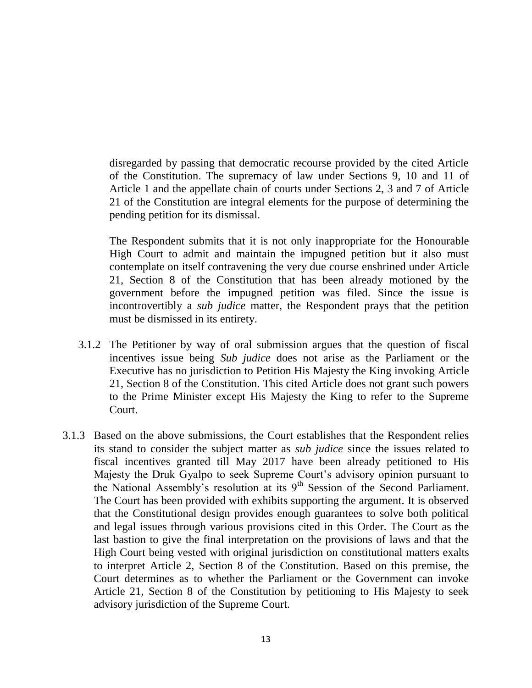disregarded by passing that democratic recourse provided by the cited Article of the Constitution. The supremacy of law under Sections 9, 10 and 11 of Article 1 and the appellate chain of courts under Sections 2, 3 and 7 of Article 21 of the Constitution are integral elements for the purpose of determining the pending petition for its dismissal.

The Respondent submits that it is not only inappropriate for the Honourable High Court to admit and maintain the impugned petition but it also must contemplate on itself contravening the very due course enshrined under Article 21, Section 8 of the Constitution that has been already motioned by the government before the impugned petition was filed. Since the issue is incontrovertibly a *sub judice* matter, the Respondent prays that the petition must be dismissed in its entirety.

- 3.1.2 The Petitioner by way of oral submission argues that the question of fiscal incentives issue being *Sub judice* does not arise as the Parliament or the Executive has no jurisdiction to Petition His Majesty the King invoking Article 21, Section 8 of the Constitution. This cited Article does not grant such powers to the Prime Minister except His Majesty the King to refer to the Supreme Court.
- 3.1.3 Based on the above submissions, the Court establishes that the Respondent relies its stand to consider the subject matter as *sub judice* since the issues related to fiscal incentives granted till May 2017 have been already petitioned to His Majesty the Druk Gyalpo to seek Supreme Court's advisory opinion pursuant to the National Assembly's resolution at its  $9<sup>th</sup>$  Session of the Second Parliament. The Court has been provided with exhibits supporting the argument. It is observed that the Constitutional design provides enough guarantees to solve both political and legal issues through various provisions cited in this Order. The Court as the last bastion to give the final interpretation on the provisions of laws and that the High Court being vested with original jurisdiction on constitutional matters exalts to interpret Article 2, Section 8 of the Constitution. Based on this premise, the Court determines as to whether the Parliament or the Government can invoke Article 21, Section 8 of the Constitution by petitioning to His Majesty to seek advisory jurisdiction of the Supreme Court.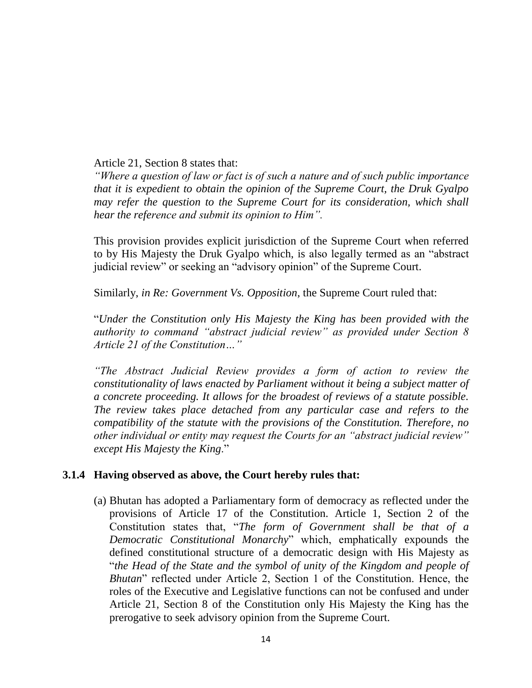Article 21, Section 8 states that:

*"Where a question of law or fact is of such a nature and of such public importance that it is expedient to obtain the opinion of the Supreme Court, the Druk Gyalpo may refer the question to the Supreme Court for its consideration, which shall hear the reference and submit its opinion to Him".* 

This provision provides explicit jurisdiction of the Supreme Court when referred to by His Majesty the Druk Gyalpo which, is also legally termed as an "abstract judicial review" or seeking an "advisory opinion" of the Supreme Court.

Similarly, *in Re: Government Vs. Opposition*, the Supreme Court ruled that:

"*Under the Constitution only His Majesty the King has been provided with the authority to command "abstract judicial review" as provided under Section 8 Article 21 of the Constitution…"* 

*"The Abstract Judicial Review provides a form of action to review the constitutionality of laws enacted by Parliament without it being a subject matter of a concrete proceeding. It allows for the broadest of reviews of a statute possible. The review takes place detached from any particular case and refers to the compatibility of the statute with the provisions of the Constitution. Therefore, no other individual or entity may request the Courts for an "abstract judicial review" except His Majesty the King*."

# **3.1.4 Having observed as above, the Court hereby rules that:**

(a) Bhutan has adopted a Parliamentary form of democracy as reflected under the provisions of Article 17 of the Constitution. Article 1, Section 2 of the Constitution states that, "*The form of Government shall be that of a Democratic Constitutional Monarchy*" which, emphatically expounds the defined constitutional structure of a democratic design with His Majesty as "*the Head of the State and the symbol of unity of the Kingdom and people of Bhutan*" reflected under Article 2, Section 1 of the Constitution. Hence, the roles of the Executive and Legislative functions can not be confused and under Article 21, Section 8 of the Constitution only His Majesty the King has the prerogative to seek advisory opinion from the Supreme Court.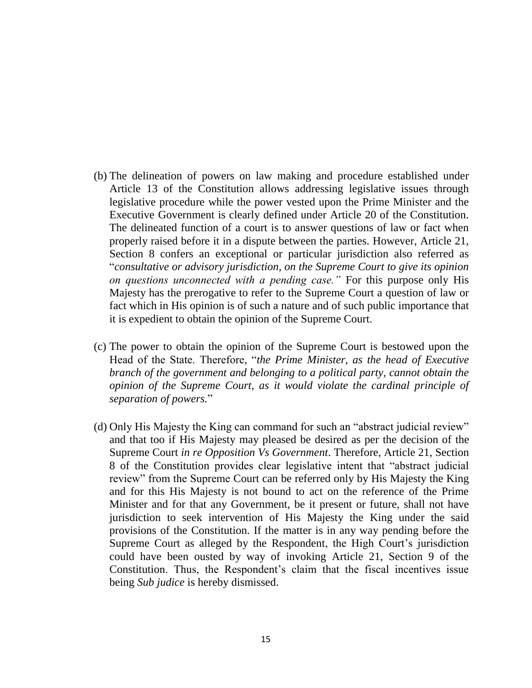- (b) The delineation of powers on law making and procedure established under Article 13 of the Constitution allows addressing legislative issues through legislative procedure while the power vested upon the Prime Minister and the Executive Government is clearly defined under Article 20 of the Constitution. The delineated function of a court is to answer questions of law or fact when properly raised before it in a dispute between the parties. However, Article 21, Section 8 confers an exceptional or particular jurisdiction also referred as "*consultative or advisory jurisdiction, on the Supreme Court to give its opinion on questions unconnected with a pending case."* For this purpose only His Majesty has the prerogative to refer to the Supreme Court a question of law or fact which in His opinion is of such a nature and of such public importance that it is expedient to obtain the opinion of the Supreme Court.
- (c) The power to obtain the opinion of the Supreme Court is bestowed upon the Head of the State. Therefore, "*the Prime Minister, as the head of Executive branch of the government and belonging to a political party, cannot obtain the opinion of the Supreme Court, as it would violate the cardinal principle of separation of powers.*"
- (d) Only His Majesty the King can command for such an "abstract judicial review" and that too if His Majesty may pleased be desired as per the decision of the Supreme Court *in re Opposition Vs Government*. Therefore, Article 21, Section 8 of the Constitution provides clear legislative intent that "abstract judicial review" from the Supreme Court can be referred only by His Majesty the King and for this His Majesty is not bound to act on the reference of the Prime Minister and for that any Government, be it present or future, shall not have jurisdiction to seek intervention of His Majesty the King under the said provisions of the Constitution. If the matter is in any way pending before the Supreme Court as alleged by the Respondent, the High Court's jurisdiction could have been ousted by way of invoking Article 21, Section 9 of the Constitution. Thus, the Respondent's claim that the fiscal incentives issue being *Sub judice* is hereby dismissed.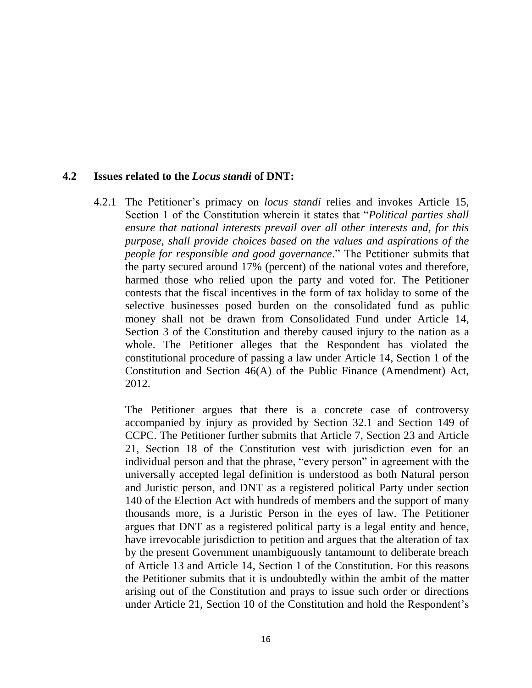## **4.2 Issues related to the** *Locus standi* **of DNT:**

4.2.1 The Petitioner's primacy on *locus standi* relies and invokes Article 15, Section 1 of the Constitution wherein it states that "*Political parties shall ensure that national interests prevail over all other interests and, for this purpose, shall provide choices based on the values and aspirations of the people for responsible and good governance*." The Petitioner submits that the party secured around 17% (percent) of the national votes and therefore, harmed those who relied upon the party and voted for. The Petitioner contests that the fiscal incentives in the form of tax holiday to some of the selective businesses posed burden on the consolidated fund as public money shall not be drawn from Consolidated Fund under Article 14, Section 3 of the Constitution and thereby caused injury to the nation as a whole. The Petitioner alleges that the Respondent has violated the constitutional procedure of passing a law under Article 14, Section 1 of the Constitution and Section 46(A) of the Public Finance (Amendment) Act, 2012.

The Petitioner argues that there is a concrete case of controversy accompanied by injury as provided by Section 32.1 and Section 149 of CCPC. The Petitioner further submits that Article 7, Section 23 and Article 21, Section 18 of the Constitution vest with jurisdiction even for an individual person and that the phrase, "every person" in agreement with the universally accepted legal definition is understood as both Natural person and Juristic person, and DNT as a registered political Party under section 140 of the Election Act with hundreds of members and the support of many thousands more, is a Juristic Person in the eyes of law. The Petitioner argues that DNT as a registered political party is a legal entity and hence, have irrevocable jurisdiction to petition and argues that the alteration of tax by the present Government unambiguously tantamount to deliberate breach of Article 13 and Article 14, Section 1 of the Constitution. For this reasons the Petitioner submits that it is undoubtedly within the ambit of the matter arising out of the Constitution and prays to issue such order or directions under Article 21, Section 10 of the Constitution and hold the Respondent's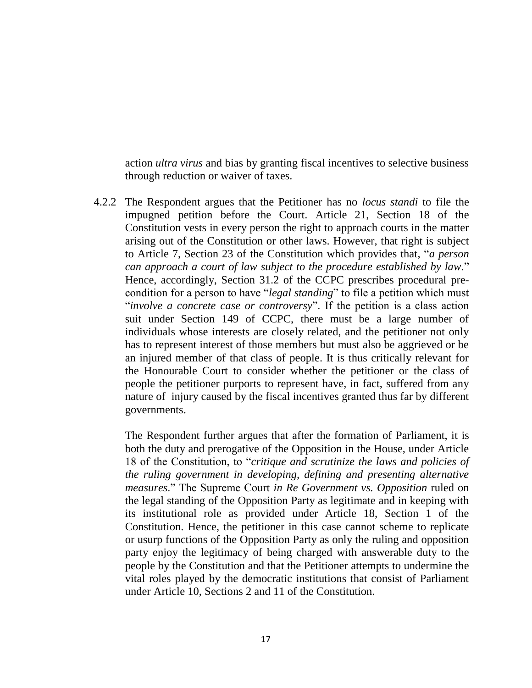action *ultra virus* and bias by granting fiscal incentives to selective business through reduction or waiver of taxes.

4.2.2 The Respondent argues that the Petitioner has no *locus standi* to file the impugned petition before the Court. Article 21, Section 18 of the Constitution vests in every person the right to approach courts in the matter arising out of the Constitution or other laws. However, that right is subject to Article 7, Section 23 of the Constitution which provides that, "*a person can approach a court of law subject to the procedure established by law*." Hence, accordingly, Section 31.2 of the CCPC prescribes procedural precondition for a person to have "*legal standing*" to file a petition which must "*involve a concrete case or controversy*". If the petition is a class action suit under Section 149 of CCPC, there must be a large number of individuals whose interests are closely related, and the petitioner not only has to represent interest of those members but must also be aggrieved or be an injured member of that class of people. It is thus critically relevant for the Honourable Court to consider whether the petitioner or the class of people the petitioner purports to represent have, in fact, suffered from any nature of injury caused by the fiscal incentives granted thus far by different governments.

The Respondent further argues that after the formation of Parliament, it is both the duty and prerogative of the Opposition in the House, under Article 18 of the Constitution, to "*critique and scrutinize the laws and policies of the ruling government in developing, defining and presenting alternative measures*." The Supreme Court *in Re Government vs. Opposition* ruled on the legal standing of the Opposition Party as legitimate and in keeping with its institutional role as provided under Article 18, Section 1 of the Constitution. Hence, the petitioner in this case cannot scheme to replicate or usurp functions of the Opposition Party as only the ruling and opposition party enjoy the legitimacy of being charged with answerable duty to the people by the Constitution and that the Petitioner attempts to undermine the vital roles played by the democratic institutions that consist of Parliament under Article 10, Sections 2 and 11 of the Constitution.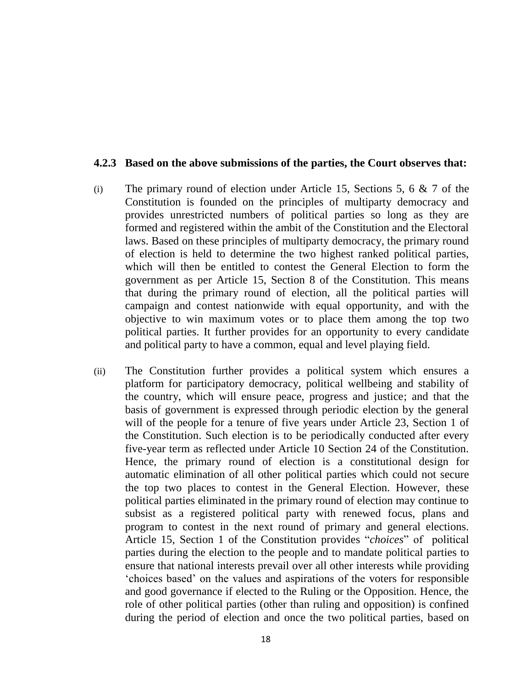### **4.2.3 Based on the above submissions of the parties, the Court observes that:**

- (i) The primary round of election under Article 15, Sections 5, 6  $\&$  7 of the Constitution is founded on the principles of multiparty democracy and provides unrestricted numbers of political parties so long as they are formed and registered within the ambit of the Constitution and the Electoral laws. Based on these principles of multiparty democracy, the primary round of election is held to determine the two highest ranked political parties, which will then be entitled to contest the General Election to form the government as per Article 15, Section 8 of the Constitution. This means that during the primary round of election, all the political parties will campaign and contest nationwide with equal opportunity, and with the objective to win maximum votes or to place them among the top two political parties. It further provides for an opportunity to every candidate and political party to have a common, equal and level playing field.
- (ii) The Constitution further provides a political system which ensures a platform for participatory democracy, political wellbeing and stability of the country, which will ensure peace, progress and justice; and that the basis of government is expressed through periodic election by the general will of the people for a tenure of five years under Article 23, Section 1 of the Constitution. Such election is to be periodically conducted after every five-year term as reflected under Article 10 Section 24 of the Constitution. Hence, the primary round of election is a constitutional design for automatic elimination of all other political parties which could not secure the top two places to contest in the General Election. However, these political parties eliminated in the primary round of election may continue to subsist as a registered political party with renewed focus, plans and program to contest in the next round of primary and general elections. Article 15, Section 1 of the Constitution provides "*choices*" of political parties during the election to the people and to mandate political parties to ensure that national interests prevail over all other interests while providing 'choices based' on the values and aspirations of the voters for responsible and good governance if elected to the Ruling or the Opposition. Hence, the role of other political parties (other than ruling and opposition) is confined during the period of election and once the two political parties, based on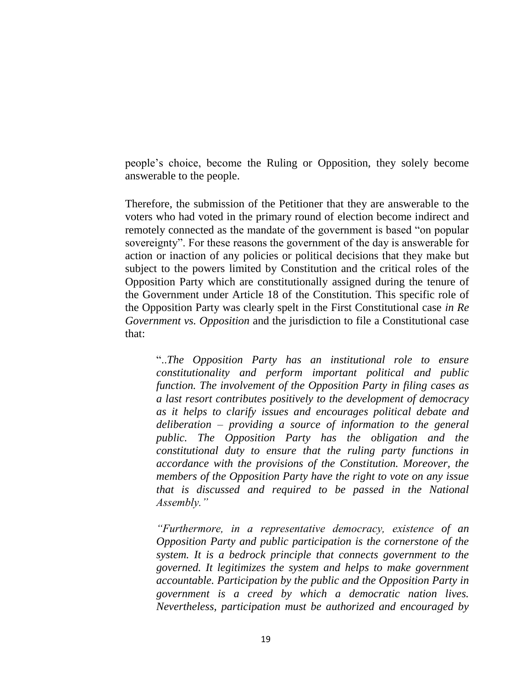people's choice, become the Ruling or Opposition, they solely become answerable to the people.

Therefore, the submission of the Petitioner that they are answerable to the voters who had voted in the primary round of election become indirect and remotely connected as the mandate of the government is based "on popular sovereignty". For these reasons the government of the day is answerable for action or inaction of any policies or political decisions that they make but subject to the powers limited by Constitution and the critical roles of the Opposition Party which are constitutionally assigned during the tenure of the Government under Article 18 of the Constitution. This specific role of the Opposition Party was clearly spelt in the First Constitutional case *in Re Government vs. Opposition* and the jurisdiction to file a Constitutional case that:

"..*The Opposition Party has an institutional role to ensure constitutionality and perform important political and public function. The involvement of the Opposition Party in filing cases as a last resort contributes positively to the development of democracy as it helps to clarify issues and encourages political debate and deliberation – providing a source of information to the general public. The Opposition Party has the obligation and the constitutional duty to ensure that the ruling party functions in accordance with the provisions of the Constitution. Moreover, the members of the Opposition Party have the right to vote on any issue that is discussed and required to be passed in the National Assembly."* 

*"Furthermore, in a representative democracy, existence of an Opposition Party and public participation is the cornerstone of the system. It is a bedrock principle that connects government to the governed. It legitimizes the system and helps to make government accountable. Participation by the public and the Opposition Party in government is a creed by which a democratic nation lives. Nevertheless, participation must be authorized and encouraged by*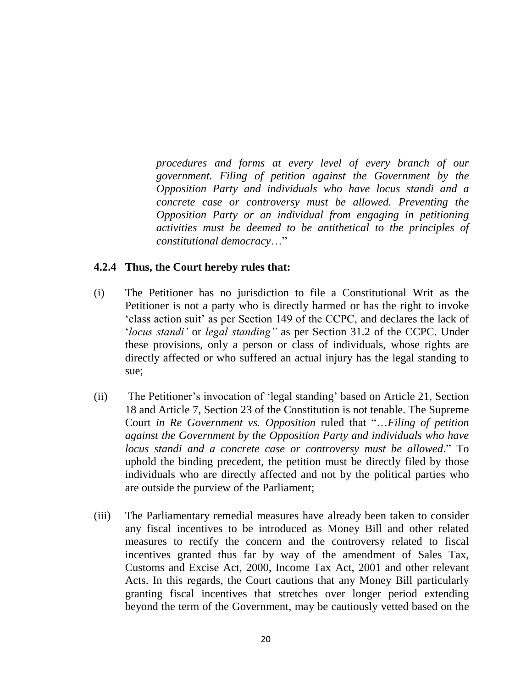*procedures and forms at every level of every branch of our government. Filing of petition against the Government by the Opposition Party and individuals who have locus standi and a concrete case or controversy must be allowed. Preventing the Opposition Party or an individual from engaging in petitioning activities must be deemed to be antithetical to the principles of constitutional democracy*…"

## **4.2.4 Thus, the Court hereby rules that:**

- (i) The Petitioner has no jurisdiction to file a Constitutional Writ as the Petitioner is not a party who is directly harmed or has the right to invoke 'class action suit' as per Section 149 of the CCPC, and declares the lack of '*locus standi'* or *legal standing"* as per Section 31.2 of the CCPC. Under these provisions, only a person or class of individuals, whose rights are directly affected or who suffered an actual injury has the legal standing to sue;
- (ii) The Petitioner's invocation of 'legal standing' based on Article 21, Section 18 and Article 7, Section 23 of the Constitution is not tenable. The Supreme Court *in Re Government vs. Opposition* ruled that "…*Filing of petition against the Government by the Opposition Party and individuals who have locus standi and a concrete case or controversy must be allowed*." To uphold the binding precedent, the petition must be directly filed by those individuals who are directly affected and not by the political parties who are outside the purview of the Parliament;
- (iii) The Parliamentary remedial measures have already been taken to consider any fiscal incentives to be introduced as Money Bill and other related measures to rectify the concern and the controversy related to fiscal incentives granted thus far by way of the amendment of Sales Tax, Customs and Excise Act, 2000, Income Tax Act, 2001 and other relevant Acts. In this regards, the Court cautions that any Money Bill particularly granting fiscal incentives that stretches over longer period extending beyond the term of the Government, may be cautiously vetted based on the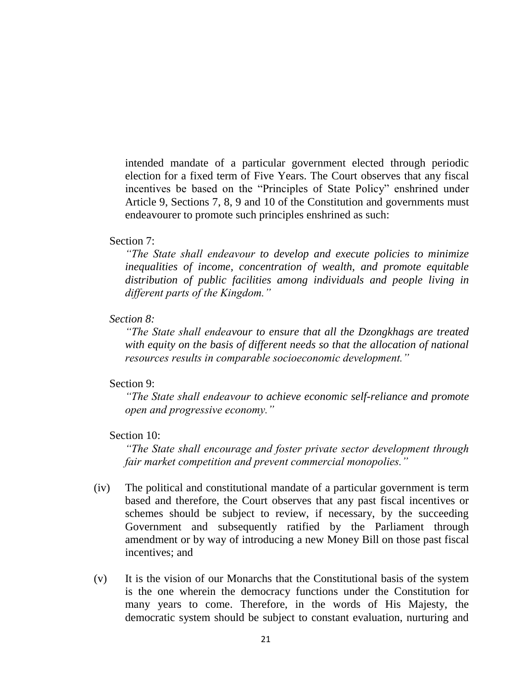intended mandate of a particular government elected through periodic election for a fixed term of Five Years. The Court observes that any fiscal incentives be based on the "Principles of State Policy" enshrined under Article 9, Sections 7, 8, 9 and 10 of the Constitution and governments must endeavourer to promote such principles enshrined as such:

### Section 7:

*"The State shall endeavour to develop and execute policies to minimize inequalities of income, concentration of wealth, and promote equitable distribution of public facilities among individuals and people living in different parts of the Kingdom."*

## *Section 8:*

*"The State shall endeavour to ensure that all the Dzongkhags are treated with equity on the basis of different needs so that the allocation of national resources results in comparable socioeconomic development."*

### Section 9:

*"The State shall endeavour to achieve economic self-reliance and promote open and progressive economy."*

## Section 10:

*"The State shall encourage and foster private sector development through fair market competition and prevent commercial monopolies."*

- (iv) The political and constitutional mandate of a particular government is term based and therefore, the Court observes that any past fiscal incentives or schemes should be subject to review, if necessary, by the succeeding Government and subsequently ratified by the Parliament through amendment or by way of introducing a new Money Bill on those past fiscal incentives; and
- (v) It is the vision of our Monarchs that the Constitutional basis of the system is the one wherein the democracy functions under the Constitution for many years to come. Therefore, in the words of His Majesty, the democratic system should be subject to constant evaluation, nurturing and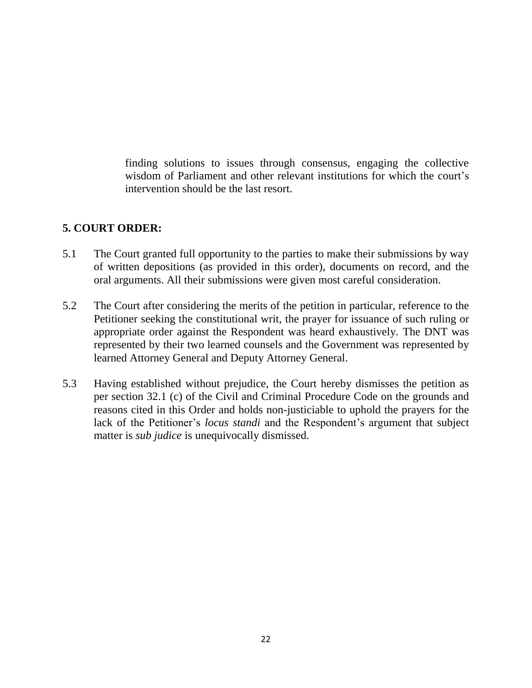finding solutions to issues through consensus, engaging the collective wisdom of Parliament and other relevant institutions for which the court's intervention should be the last resort.

# **5. COURT ORDER:**

- 5.1 The Court granted full opportunity to the parties to make their submissions by way of written depositions (as provided in this order), documents on record, and the oral arguments. All their submissions were given most careful consideration.
- 5.2 The Court after considering the merits of the petition in particular, reference to the Petitioner seeking the constitutional writ, the prayer for issuance of such ruling or appropriate order against the Respondent was heard exhaustively. The DNT was represented by their two learned counsels and the Government was represented by learned Attorney General and Deputy Attorney General.
- 5.3 Having established without prejudice, the Court hereby dismisses the petition as per section 32.1 (c) of the Civil and Criminal Procedure Code on the grounds and reasons cited in this Order and holds non-justiciable to uphold the prayers for the lack of the Petitioner's *locus standi* and the Respondent's argument that subject matter is *sub judice* is unequivocally dismissed.